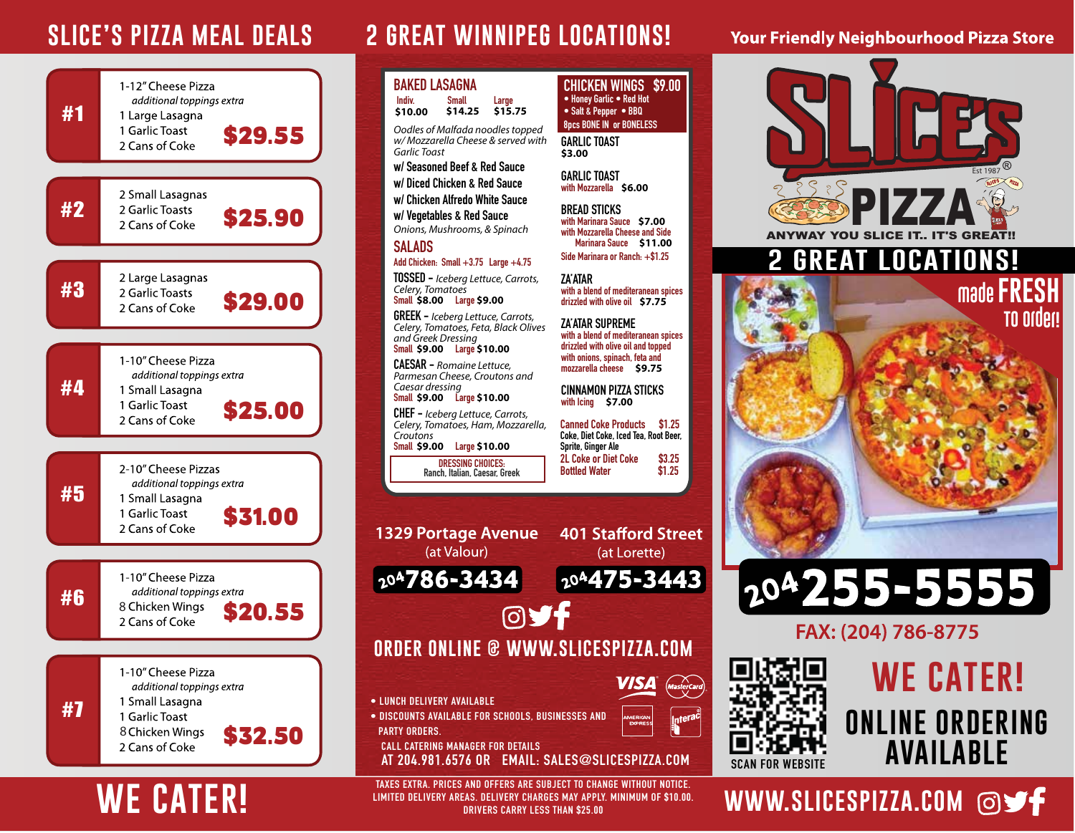

# **WE CATER!**

## **SLICE'S PIZZA MEAL DEALS 2 GREAT WINNIPEG LOCATIONS!**



**LIMITED DELIVERY AREAS. DELIVERY CHARGES MAY APPLY. MINIMUM OF \$10.00. DRIVERS CARRY LESS THAN \$25.00**

### **Your Friendly Neighbourhood Pizza Store**



## WWW.SLICESPIZZA.COM